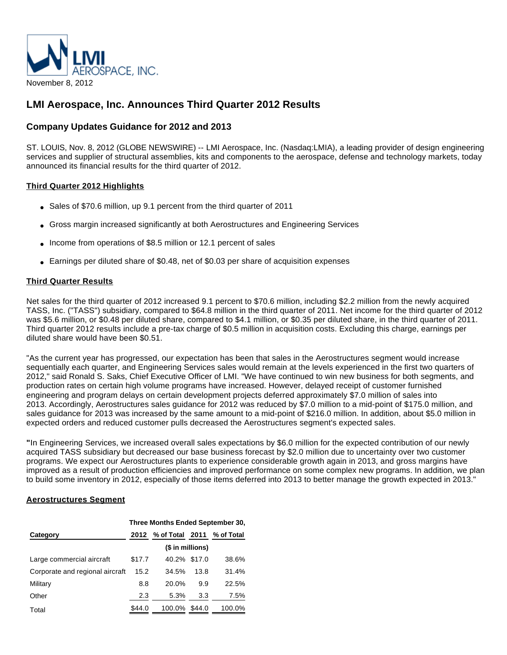

# **LMI Aerospace, Inc. Announces Third Quarter 2012 Results**

## **Company Updates Guidance for 2012 and 2013**

ST. LOUIS, Nov. 8, 2012 (GLOBE NEWSWIRE) -- LMI Aerospace, Inc. (Nasdaq:LMIA), a leading provider of design engineering services and supplier of structural assemblies, kits and components to the aerospace, defense and technology markets, today announced its financial results for the third quarter of 2012.

### **Third Quarter 2012 Highlights**

- Sales of \$70.6 million, up 9.1 percent from the third quarter of 2011
- Gross margin increased significantly at both Aerostructures and Engineering Services
- Income from operations of \$8.5 million or 12.1 percent of sales
- Earnings per diluted share of \$0.48, net of \$0.03 per share of acquisition expenses

### **Third Quarter Results**

Net sales for the third quarter of 2012 increased 9.1 percent to \$70.6 million, including \$2.2 million from the newly acquired TASS, Inc. ("TASS") subsidiary, compared to \$64.8 million in the third quarter of 2011. Net income for the third quarter of 2012 was \$5.6 million, or \$0.48 per diluted share, compared to \$4.1 million, or \$0.35 per diluted share, in the third quarter of 2011. Third quarter 2012 results include a pre-tax charge of \$0.5 million in acquisition costs. Excluding this charge, earnings per diluted share would have been \$0.51.

"As the current year has progressed, our expectation has been that sales in the Aerostructures segment would increase sequentially each quarter, and Engineering Services sales would remain at the levels experienced in the first two quarters of 2012," said Ronald S. Saks, Chief Executive Officer of LMI. "We have continued to win new business for both segments, and production rates on certain high volume programs have increased. However, delayed receipt of customer furnished engineering and program delays on certain development projects deferred approximately \$7.0 million of sales into 2013. Accordingly, Aerostructures sales guidance for 2012 was reduced by \$7.0 million to a mid-point of \$175.0 million, and sales guidance for 2013 was increased by the same amount to a mid-point of \$216.0 million. In addition, about \$5.0 million in expected orders and reduced customer pulls decreased the Aerostructures segment's expected sales.

**"**In Engineering Services, we increased overall sales expectations by \$6.0 million for the expected contribution of our newly acquired TASS subsidiary but decreased our base business forecast by \$2.0 million due to uncertainty over two customer programs. We expect our Aerostructures plants to experience considerable growth again in 2013, and gross margins have improved as a result of production efficiencies and improved performance on some complex new programs. In addition, we plan to build some inventory in 2012, especially of those items deferred into 2013 to better manage the growth expected in 2013."

#### **Aerostructures Segment**

|                                 | Three Months Ended September 30, |                                 |      |        |  |  |  |
|---------------------------------|----------------------------------|---------------------------------|------|--------|--|--|--|
| Category                        |                                  | 2012 % of Total 2011 % of Total |      |        |  |  |  |
|                                 | (\$ in millions)                 |                                 |      |        |  |  |  |
| Large commercial aircraft       | \$17.7                           | 40.2% \$17.0                    |      | 38.6%  |  |  |  |
| Corporate and regional aircraft | 15.2                             | 34.5%                           | 13.8 | 31.4%  |  |  |  |
| Military                        | 8.8                              | 20.0%                           | 9.9  | 22.5%  |  |  |  |
| Other                           | 2.3                              | 5.3%                            | 3.3  | 7.5%   |  |  |  |
| Total                           | \$44.0                           | 100.0% \$44.0                   |      | 100.0% |  |  |  |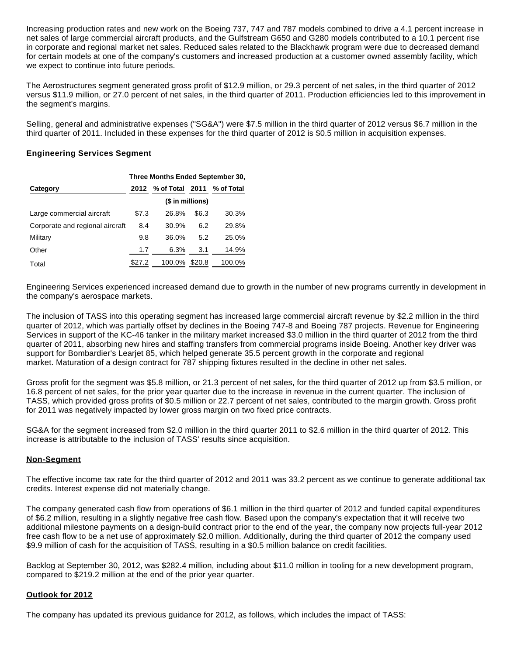Increasing production rates and new work on the Boeing 737, 747 and 787 models combined to drive a 4.1 percent increase in net sales of large commercial aircraft products, and the Gulfstream G650 and G280 models contributed to a 10.1 percent rise in corporate and regional market net sales. Reduced sales related to the Blackhawk program were due to decreased demand for certain models at one of the company's customers and increased production at a customer owned assembly facility, which we expect to continue into future periods.

The Aerostructures segment generated gross profit of \$12.9 million, or 29.3 percent of net sales, in the third quarter of 2012 versus \$11.9 million, or 27.0 percent of net sales, in the third quarter of 2011. Production efficiencies led to this improvement in the segment's margins.

Selling, general and administrative expenses ("SG&A") were \$7.5 million in the third quarter of 2012 versus \$6.7 million in the third quarter of 2011. Included in these expenses for the third quarter of 2012 is \$0.5 million in acquisition expenses.

#### **Engineering Services Segment**

|                                 | Three Months Ended September 30, |                      |            |        |  |  |
|---------------------------------|----------------------------------|----------------------|------------|--------|--|--|
| Category                        |                                  | 2012 % of Total 2011 | % of Total |        |  |  |
|                                 | (\$ in millions)                 |                      |            |        |  |  |
| Large commercial aircraft       | \$7.3                            | 26.8%                | \$6.3      | 30.3%  |  |  |
| Corporate and regional aircraft | 8.4                              | 30.9%                | 6.2        | 29.8%  |  |  |
| Military                        | 9.8                              | 36.0%                | 5.2        | 25.0%  |  |  |
| Other                           | 1.7                              | 6.3%                 | 3.1        | 14.9%  |  |  |
| Total                           | \$27.2                           | 100.0%               | \$20.8     | 100.0% |  |  |

Engineering Services experienced increased demand due to growth in the number of new programs currently in development in the company's aerospace markets.

The inclusion of TASS into this operating segment has increased large commercial aircraft revenue by \$2.2 million in the third quarter of 2012, which was partially offset by declines in the Boeing 747-8 and Boeing 787 projects. Revenue for Engineering Services in support of the KC-46 tanker in the military market increased \$3.0 million in the third quarter of 2012 from the third quarter of 2011, absorbing new hires and staffing transfers from commercial programs inside Boeing. Another key driver was support for Bombardier's Learjet 85, which helped generate 35.5 percent growth in the corporate and regional market. Maturation of a design contract for 787 shipping fixtures resulted in the decline in other net sales.

Gross profit for the segment was \$5.8 million, or 21.3 percent of net sales, for the third quarter of 2012 up from \$3.5 million, or 16.8 percent of net sales, for the prior year quarter due to the increase in revenue in the current quarter. The inclusion of TASS, which provided gross profits of \$0.5 million or 22.7 percent of net sales, contributed to the margin growth. Gross profit for 2011 was negatively impacted by lower gross margin on two fixed price contracts.

SG&A for the segment increased from \$2.0 million in the third quarter 2011 to \$2.6 million in the third quarter of 2012. This increase is attributable to the inclusion of TASS' results since acquisition.

## **Non-Segment**

The effective income tax rate for the third quarter of 2012 and 2011 was 33.2 percent as we continue to generate additional tax credits. Interest expense did not materially change.

The company generated cash flow from operations of \$6.1 million in the third quarter of 2012 and funded capital expenditures of \$6.2 million, resulting in a slightly negative free cash flow. Based upon the company's expectation that it will receive two additional milestone payments on a design-build contract prior to the end of the year, the company now projects full-year 2012 free cash flow to be a net use of approximately \$2.0 million. Additionally, during the third quarter of 2012 the company used \$9.9 million of cash for the acquisition of TASS, resulting in a \$0.5 million balance on credit facilities.

Backlog at September 30, 2012, was \$282.4 million, including about \$11.0 million in tooling for a new development program, compared to \$219.2 million at the end of the prior year quarter.

#### **Outlook for 2012**

The company has updated its previous guidance for 2012, as follows, which includes the impact of TASS: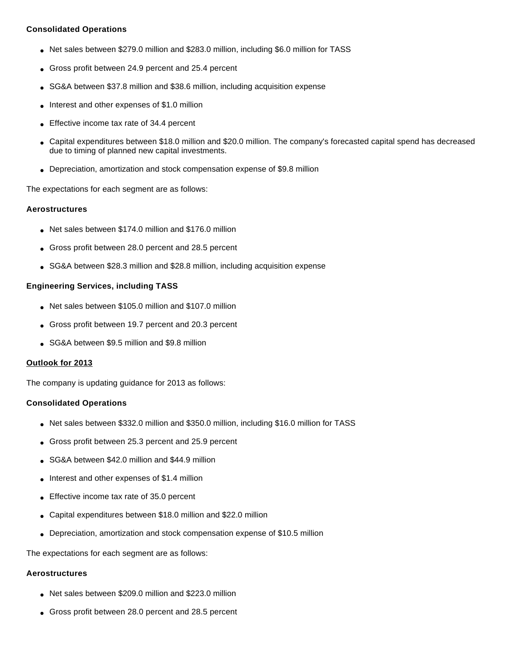## **Consolidated Operations**

- Net sales between \$279.0 million and \$283.0 million, including \$6.0 million for TASS
- Gross profit between 24.9 percent and 25.4 percent
- SG&A between \$37.8 million and \$38.6 million, including acquisition expense
- Interest and other expenses of \$1.0 million
- Effective income tax rate of 34.4 percent
- Capital expenditures between \$18.0 million and \$20.0 million. The company's forecasted capital spend has decreased due to timing of planned new capital investments.
- Depreciation, amortization and stock compensation expense of \$9.8 million

The expectations for each segment are as follows:

### **Aerostructures**

- Net sales between \$174.0 million and \$176.0 million
- Gross profit between 28.0 percent and 28.5 percent
- SG&A between \$28.3 million and \$28.8 million, including acquisition expense

### **Engineering Services, including TASS**

- Net sales between \$105.0 million and \$107.0 million
- Gross profit between 19.7 percent and 20.3 percent
- SG&A between \$9.5 million and \$9.8 million

#### **Outlook for 2013**

The company is updating guidance for 2013 as follows:

## **Consolidated Operations**

- Net sales between \$332.0 million and \$350.0 million, including \$16.0 million for TASS
- Gross profit between 25.3 percent and 25.9 percent
- SG&A between \$42.0 million and \$44.9 million
- Interest and other expenses of \$1.4 million
- Effective income tax rate of 35.0 percent
- Capital expenditures between \$18.0 million and \$22.0 million
- Depreciation, amortization and stock compensation expense of \$10.5 million

The expectations for each segment are as follows:

#### **Aerostructures**

- Net sales between \$209.0 million and \$223.0 million
- Gross profit between 28.0 percent and 28.5 percent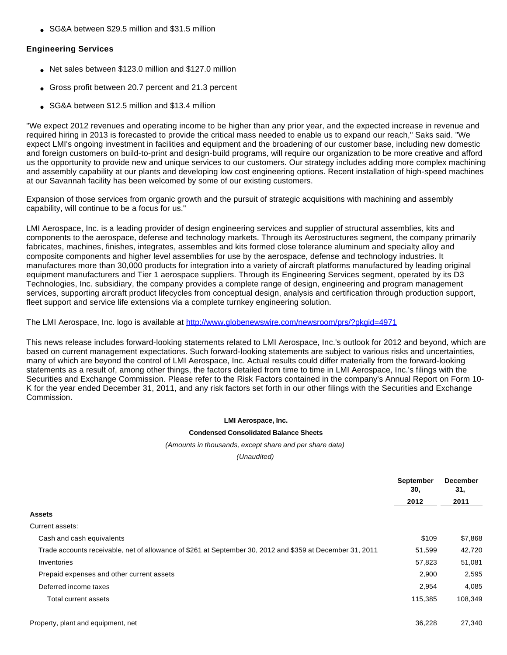• SG&A between \$29.5 million and \$31.5 million

#### **Engineering Services**

- Net sales between \$123.0 million and \$127.0 million
- Gross profit between 20.7 percent and 21.3 percent
- SG&A between \$12.5 million and \$13.4 million

"We expect 2012 revenues and operating income to be higher than any prior year, and the expected increase in revenue and required hiring in 2013 is forecasted to provide the critical mass needed to enable us to expand our reach," Saks said. "We expect LMI's ongoing investment in facilities and equipment and the broadening of our customer base, including new domestic and foreign customers on build-to-print and design-build programs, will require our organization to be more creative and afford us the opportunity to provide new and unique services to our customers. Our strategy includes adding more complex machining and assembly capability at our plants and developing low cost engineering options. Recent installation of high-speed machines at our Savannah facility has been welcomed by some of our existing customers.

Expansion of those services from organic growth and the pursuit of strategic acquisitions with machining and assembly capability, will continue to be a focus for us."

LMI Aerospace, Inc. is a leading provider of design engineering services and supplier of structural assemblies, kits and components to the aerospace, defense and technology markets. Through its Aerostructures segment, the company primarily fabricates, machines, finishes, integrates, assembles and kits formed close tolerance aluminum and specialty alloy and composite components and higher level assemblies for use by the aerospace, defense and technology industries. It manufactures more than 30,000 products for integration into a variety of aircraft platforms manufactured by leading original equipment manufacturers and Tier 1 aerospace suppliers. Through its Engineering Services segment, operated by its D3 Technologies, Inc. subsidiary, the company provides a complete range of design, engineering and program management services, supporting aircraft product lifecycles from conceptual design, analysis and certification through production support, fleet support and service life extensions via a complete turnkey engineering solution.

The LMI Aerospace, Inc. logo is available at <http://www.globenewswire.com/newsroom/prs/?pkgid=4971>

This news release includes forward-looking statements related to LMI Aerospace, Inc.'s outlook for 2012 and beyond, which are based on current management expectations. Such forward-looking statements are subject to various risks and uncertainties, many of which are beyond the control of LMI Aerospace, Inc. Actual results could differ materially from the forward-looking statements as a result of, among other things, the factors detailed from time to time in LMI Aerospace, Inc.'s filings with the Securities and Exchange Commission. Please refer to the Risk Factors contained in the company's Annual Report on Form 10- K for the year ended December 31, 2011, and any risk factors set forth in our other filings with the Securities and Exchange Commission.

#### **LMI Aerospace, Inc.**

#### **Condensed Consolidated Balance Sheets**

#### (Amounts in thousands, except share and per share data)

(Unaudited)

|                                                                                                           | <b>September</b><br>30, | <b>December</b><br>31, |  |
|-----------------------------------------------------------------------------------------------------------|-------------------------|------------------------|--|
|                                                                                                           | 2012                    | 2011                   |  |
| <b>Assets</b>                                                                                             |                         |                        |  |
| Current assets:                                                                                           |                         |                        |  |
| Cash and cash equivalents                                                                                 | \$109                   | \$7,868                |  |
| Trade accounts receivable, net of allowance of \$261 at September 30, 2012 and \$359 at December 31, 2011 | 51,599                  | 42,720                 |  |
| Inventories                                                                                               | 57,823                  | 51,081                 |  |
| Prepaid expenses and other current assets                                                                 | 2,900                   | 2,595                  |  |
| Deferred income taxes                                                                                     | 2,954                   | 4,085                  |  |
| Total current assets                                                                                      | 115,385                 | 108,349                |  |
| Property, plant and equipment, net                                                                        | 36.228                  | 27.340                 |  |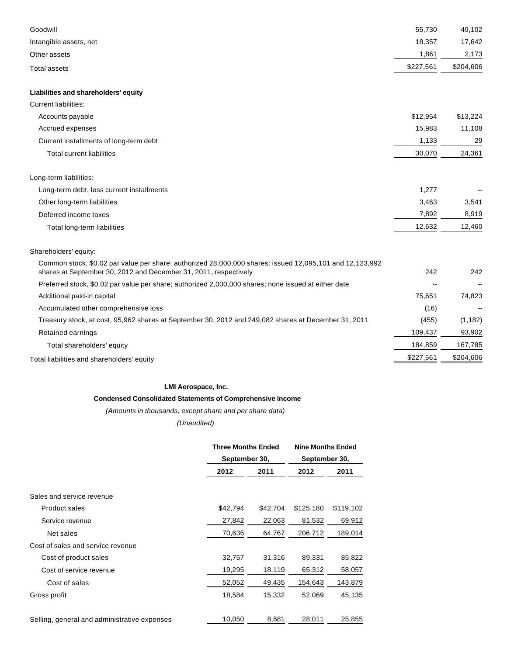| 18,357<br>17,642<br>Intangible assets, net<br>1,861<br>2,173<br>Other assets<br>\$227,561<br>\$204,606<br><b>Total assets</b><br>Liabilities and shareholders' equity<br><b>Current liabilities:</b><br>Accounts payable<br>\$12,954<br>\$13,224<br>11,108<br>Accrued expenses<br>15,983<br>1,133<br>29<br>Current installments of long-term debt<br>30,070<br>24,361<br><b>Total current liabilities</b><br>Long-term liabilities:<br>1,277<br>Long-term debt, less current installments<br>Other long-term liabilities<br>3,463<br>3,541<br>7,892<br>8,919<br>Deferred income taxes<br>12,632<br>12,460<br>Total long-term liabilities<br>Shareholders' equity:<br>Common stock, \$0.02 par value per share; authorized 28,000,000 shares: issued 12,095,101 and 12,123,992<br>shares at September 30, 2012 and December 31, 2011, respectively<br>242<br>242<br>Preferred stock, \$0.02 par value per share; authorized 2,000,000 shares; none issued at either date<br>Additional paid-in capital<br>75,651<br>74,823<br>Accumulated other comprehensive loss<br>(16)<br>Treasury stock, at cost, 95,962 shares at September 30, 2012 and 249,082 shares at December 31, 2011<br>(455)<br>(1, 182)<br>109,437<br>93,902<br>Retained earnings<br>184,859<br>167,785<br>Total shareholders' equity<br>\$227,561<br>\$204,606<br>Total liabilities and shareholders' equity | Goodwill | 55,730 | 49,102 |
|------------------------------------------------------------------------------------------------------------------------------------------------------------------------------------------------------------------------------------------------------------------------------------------------------------------------------------------------------------------------------------------------------------------------------------------------------------------------------------------------------------------------------------------------------------------------------------------------------------------------------------------------------------------------------------------------------------------------------------------------------------------------------------------------------------------------------------------------------------------------------------------------------------------------------------------------------------------------------------------------------------------------------------------------------------------------------------------------------------------------------------------------------------------------------------------------------------------------------------------------------------------------------------------------------------------------------------------------------------------------------|----------|--------|--------|
|                                                                                                                                                                                                                                                                                                                                                                                                                                                                                                                                                                                                                                                                                                                                                                                                                                                                                                                                                                                                                                                                                                                                                                                                                                                                                                                                                                              |          |        |        |
|                                                                                                                                                                                                                                                                                                                                                                                                                                                                                                                                                                                                                                                                                                                                                                                                                                                                                                                                                                                                                                                                                                                                                                                                                                                                                                                                                                              |          |        |        |
|                                                                                                                                                                                                                                                                                                                                                                                                                                                                                                                                                                                                                                                                                                                                                                                                                                                                                                                                                                                                                                                                                                                                                                                                                                                                                                                                                                              |          |        |        |
|                                                                                                                                                                                                                                                                                                                                                                                                                                                                                                                                                                                                                                                                                                                                                                                                                                                                                                                                                                                                                                                                                                                                                                                                                                                                                                                                                                              |          |        |        |
|                                                                                                                                                                                                                                                                                                                                                                                                                                                                                                                                                                                                                                                                                                                                                                                                                                                                                                                                                                                                                                                                                                                                                                                                                                                                                                                                                                              |          |        |        |
|                                                                                                                                                                                                                                                                                                                                                                                                                                                                                                                                                                                                                                                                                                                                                                                                                                                                                                                                                                                                                                                                                                                                                                                                                                                                                                                                                                              |          |        |        |
|                                                                                                                                                                                                                                                                                                                                                                                                                                                                                                                                                                                                                                                                                                                                                                                                                                                                                                                                                                                                                                                                                                                                                                                                                                                                                                                                                                              |          |        |        |
|                                                                                                                                                                                                                                                                                                                                                                                                                                                                                                                                                                                                                                                                                                                                                                                                                                                                                                                                                                                                                                                                                                                                                                                                                                                                                                                                                                              |          |        |        |
|                                                                                                                                                                                                                                                                                                                                                                                                                                                                                                                                                                                                                                                                                                                                                                                                                                                                                                                                                                                                                                                                                                                                                                                                                                                                                                                                                                              |          |        |        |
|                                                                                                                                                                                                                                                                                                                                                                                                                                                                                                                                                                                                                                                                                                                                                                                                                                                                                                                                                                                                                                                                                                                                                                                                                                                                                                                                                                              |          |        |        |
|                                                                                                                                                                                                                                                                                                                                                                                                                                                                                                                                                                                                                                                                                                                                                                                                                                                                                                                                                                                                                                                                                                                                                                                                                                                                                                                                                                              |          |        |        |
|                                                                                                                                                                                                                                                                                                                                                                                                                                                                                                                                                                                                                                                                                                                                                                                                                                                                                                                                                                                                                                                                                                                                                                                                                                                                                                                                                                              |          |        |        |
|                                                                                                                                                                                                                                                                                                                                                                                                                                                                                                                                                                                                                                                                                                                                                                                                                                                                                                                                                                                                                                                                                                                                                                                                                                                                                                                                                                              |          |        |        |
|                                                                                                                                                                                                                                                                                                                                                                                                                                                                                                                                                                                                                                                                                                                                                                                                                                                                                                                                                                                                                                                                                                                                                                                                                                                                                                                                                                              |          |        |        |
|                                                                                                                                                                                                                                                                                                                                                                                                                                                                                                                                                                                                                                                                                                                                                                                                                                                                                                                                                                                                                                                                                                                                                                                                                                                                                                                                                                              |          |        |        |
|                                                                                                                                                                                                                                                                                                                                                                                                                                                                                                                                                                                                                                                                                                                                                                                                                                                                                                                                                                                                                                                                                                                                                                                                                                                                                                                                                                              |          |        |        |
|                                                                                                                                                                                                                                                                                                                                                                                                                                                                                                                                                                                                                                                                                                                                                                                                                                                                                                                                                                                                                                                                                                                                                                                                                                                                                                                                                                              |          |        |        |
|                                                                                                                                                                                                                                                                                                                                                                                                                                                                                                                                                                                                                                                                                                                                                                                                                                                                                                                                                                                                                                                                                                                                                                                                                                                                                                                                                                              |          |        |        |
|                                                                                                                                                                                                                                                                                                                                                                                                                                                                                                                                                                                                                                                                                                                                                                                                                                                                                                                                                                                                                                                                                                                                                                                                                                                                                                                                                                              |          |        |        |
|                                                                                                                                                                                                                                                                                                                                                                                                                                                                                                                                                                                                                                                                                                                                                                                                                                                                                                                                                                                                                                                                                                                                                                                                                                                                                                                                                                              |          |        |        |
|                                                                                                                                                                                                                                                                                                                                                                                                                                                                                                                                                                                                                                                                                                                                                                                                                                                                                                                                                                                                                                                                                                                                                                                                                                                                                                                                                                              |          |        |        |
|                                                                                                                                                                                                                                                                                                                                                                                                                                                                                                                                                                                                                                                                                                                                                                                                                                                                                                                                                                                                                                                                                                                                                                                                                                                                                                                                                                              |          |        |        |
|                                                                                                                                                                                                                                                                                                                                                                                                                                                                                                                                                                                                                                                                                                                                                                                                                                                                                                                                                                                                                                                                                                                                                                                                                                                                                                                                                                              |          |        |        |
|                                                                                                                                                                                                                                                                                                                                                                                                                                                                                                                                                                                                                                                                                                                                                                                                                                                                                                                                                                                                                                                                                                                                                                                                                                                                                                                                                                              |          |        |        |
|                                                                                                                                                                                                                                                                                                                                                                                                                                                                                                                                                                                                                                                                                                                                                                                                                                                                                                                                                                                                                                                                                                                                                                                                                                                                                                                                                                              |          |        |        |

### **LMI Aerospace, Inc.**

### **Condensed Consolidated Statements of Comprehensive Income**

(Amounts in thousands, except share and per share data)

## (Unaudited)

|                                              | <b>Three Months Ended</b><br>September 30, |          | <b>Nine Months Ended</b><br>September 30, |           |
|----------------------------------------------|--------------------------------------------|----------|-------------------------------------------|-----------|
|                                              |                                            |          |                                           |           |
|                                              | 2012                                       | 2011     | 2012                                      | 2011      |
| Sales and service revenue                    |                                            |          |                                           |           |
| Product sales                                | \$42,794                                   | \$42,704 | \$125,180                                 | \$119,102 |
| Service revenue                              | 27,842                                     | 22,063   | 81,532                                    | 69,912    |
| Net sales                                    | 70,636                                     | 64,767   | 206,712                                   | 189,014   |
| Cost of sales and service revenue            |                                            |          |                                           |           |
| Cost of product sales                        | 32,757                                     | 31,316   | 89,331                                    | 85,822    |
| Cost of service revenue                      | 19,295                                     | 18,119   | 65,312                                    | 58,057    |
| Cost of sales                                | 52,052                                     | 49,435   | 154,643                                   | 143,879   |
| Gross profit                                 | 18,584                                     | 15,332   | 52,069                                    | 45,135    |
| Selling, general and administrative expenses | 10,050                                     | 8,681    | 28,011                                    | 25,855    |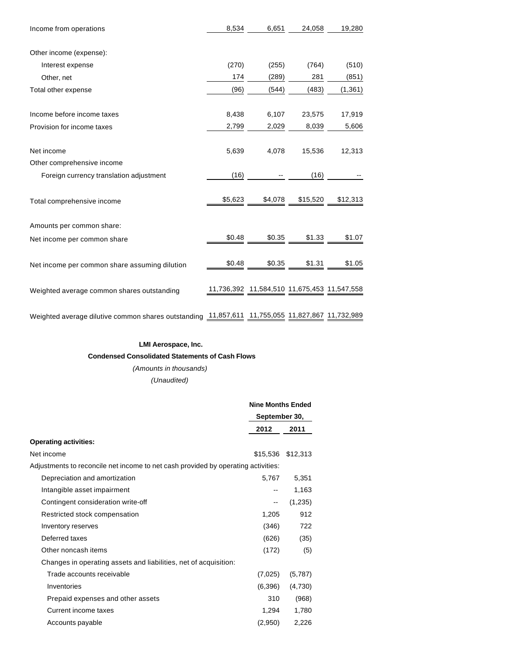| Income from operations                                                                          | 8,534   | 6,651                                       | 24,058   | 19,280   |
|-------------------------------------------------------------------------------------------------|---------|---------------------------------------------|----------|----------|
|                                                                                                 |         |                                             |          |          |
| Other income (expense):                                                                         |         |                                             |          |          |
| Interest expense                                                                                | (270)   | (255)                                       | (764)    | (510)    |
| Other, net                                                                                      | 174     | (289)                                       | 281      | (851)    |
| Total other expense                                                                             | (96)    | (544)                                       | (483)    | (1, 361) |
| Income before income taxes                                                                      | 8,438   | 6,107                                       | 23,575   | 17,919   |
| Provision for income taxes                                                                      | 2,799   | 2,029                                       | 8,039    | 5,606    |
| Net income                                                                                      | 5,639   | 4,078                                       | 15,536   | 12,313   |
| Other comprehensive income                                                                      |         |                                             |          |          |
| Foreign currency translation adjustment                                                         | (16)    |                                             | (16)     |          |
| Total comprehensive income                                                                      | \$5,623 | \$4,078                                     | \$15,520 | \$12,313 |
| Amounts per common share:                                                                       |         |                                             |          |          |
| Net income per common share                                                                     | \$0.48  | \$0.35                                      | \$1.33   | \$1.07   |
| Net income per common share assuming dilution                                                   | \$0.48  | \$0.35                                      | \$1.31   | \$1.05   |
| Weighted average common shares outstanding                                                      |         | 11,736,392 11,584,510 11,675,453 11,547,558 |          |          |
| Weighted average dilutive common shares outstanding 11,857,611 11,755,055 11,827,867 11,732,989 |         |                                             |          |          |

## **LMI Aerospace, Inc. Condensed Consolidated Statements of Cash Flows**

(Amounts in thousands) (Unaudited)

|                                                                                   |                          | <b>Nine Months Ended</b> |  |  |
|-----------------------------------------------------------------------------------|--------------------------|--------------------------|--|--|
|                                                                                   | September 30,            |                          |  |  |
|                                                                                   | 2012                     | 2011                     |  |  |
| <b>Operating activities:</b>                                                      |                          |                          |  |  |
| Net income                                                                        | \$15,536                 | \$12,313                 |  |  |
| Adjustments to reconcile net income to net cash provided by operating activities: |                          |                          |  |  |
| Depreciation and amortization                                                     | 5,767                    | 5,351                    |  |  |
| Intangible asset impairment                                                       | $- -$                    | 1,163                    |  |  |
| Contingent consideration write-off                                                | $\overline{\phantom{m}}$ | (1,235)                  |  |  |
| Restricted stock compensation                                                     | 1,205                    | 912                      |  |  |
| Inventory reserves                                                                | (346)                    | 722                      |  |  |
| Deferred taxes                                                                    | (626)                    | (35)                     |  |  |
| Other noncash items                                                               | (172)                    | (5)                      |  |  |
| Changes in operating assets and liabilities, net of acquisition:                  |                          |                          |  |  |
| Trade accounts receivable                                                         | (7,025)                  | (5,787)                  |  |  |
| Inventories                                                                       | (6,396)                  | (4,730)                  |  |  |
| Prepaid expenses and other assets                                                 | 310                      | (968)                    |  |  |
| Current income taxes                                                              | 1,294                    | 1,780                    |  |  |
| Accounts payable                                                                  | (2,950)                  | 2,226                    |  |  |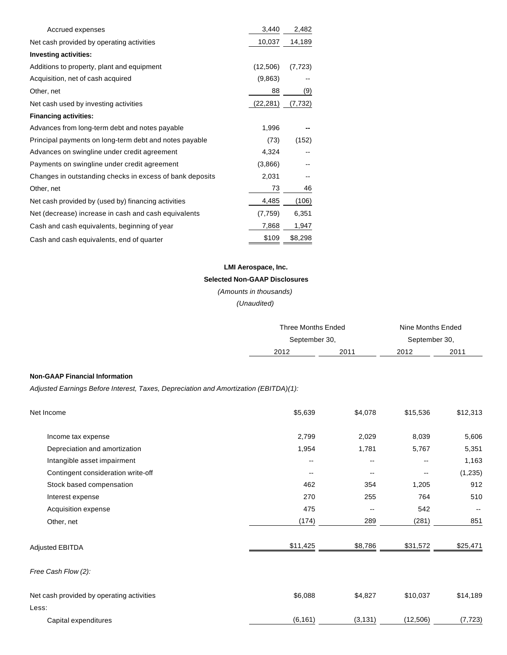| Accrued expenses                                         | 3,440     | 2,482    |
|----------------------------------------------------------|-----------|----------|
| Net cash provided by operating activities                | 10,037    | 14,189   |
| <b>Investing activities:</b>                             |           |          |
| Additions to property, plant and equipment               | (12,506)  | (7, 723) |
| Acquisition, net of cash acquired                        | (9,863)   |          |
| Other, net                                               | 88        | (9)      |
| Net cash used by investing activities                    | (22, 281) | (7, 732) |
| <b>Financing activities:</b>                             |           |          |
| Advances from long-term debt and notes payable           | 1,996     |          |
| Principal payments on long-term debt and notes payable   | (73)      | (152)    |
| Advances on swingline under credit agreement             | 4,324     |          |
| Payments on swingline under credit agreement             | (3,866)   |          |
| Changes in outstanding checks in excess of bank deposits | 2,031     |          |
| Other, net                                               | 73        | 46       |
| Net cash provided by (used by) financing activities      | 4,485     | (106)    |
| Net (decrease) increase in cash and cash equivalents     | (7, 759)  | 6,351    |
| Cash and cash equivalents, beginning of year             | 7,868     | 1,947    |
| Cash and cash equivalents, end of quarter                | \$109     | \$8,298  |

# **LMI Aerospace, Inc.**

# **Selected Non-GAAP Disclosures**

(Amounts in thousands)

(Unaudited)

|                                                                                      | <b>Three Months Ended</b> |                          | Nine Months Ended        |          |
|--------------------------------------------------------------------------------------|---------------------------|--------------------------|--------------------------|----------|
|                                                                                      | September 30,             |                          |                          |          |
|                                                                                      | 2012                      | 2011                     | September 30,<br>2012    | 2011     |
|                                                                                      |                           |                          |                          |          |
| <b>Non-GAAP Financial Information</b>                                                |                           |                          |                          |          |
| Adjusted Earnings Before Interest, Taxes, Depreciation and Amortization (EBITDA)(1): |                           |                          |                          |          |
| Net Income                                                                           | \$5,639                   | \$4,078                  | \$15,536                 | \$12,313 |
| Income tax expense                                                                   | 2,799                     | 2,029                    | 8,039                    | 5,606    |
| Depreciation and amortization                                                        | 1,954                     | 1,781                    | 5,767                    | 5,351    |
| Intangible asset impairment                                                          | $-$                       | --                       | $\overline{\phantom{a}}$ | 1,163    |
| Contingent consideration write-off                                                   | $\overline{\phantom{a}}$  | $\overline{\phantom{a}}$ | --                       | (1, 235) |
| Stock based compensation                                                             | 462                       | 354                      | 1,205                    | 912      |
| Interest expense                                                                     | 270                       | 255                      | 764                      | 510      |
| Acquisition expense                                                                  | 475                       | --                       | 542                      |          |
| Other, net                                                                           | (174)                     | 289                      | (281)                    | 851      |
| <b>Adjusted EBITDA</b>                                                               | \$11,425                  | \$8,786                  | \$31,572                 | \$25,471 |
| Free Cash Flow (2):                                                                  |                           |                          |                          |          |
| Net cash provided by operating activities                                            | \$6,088                   | \$4,827                  | \$10,037                 | \$14,189 |
| Less:                                                                                |                           |                          |                          |          |

Capital expenditures (6,161) (3,131) (12,506) (7,723)